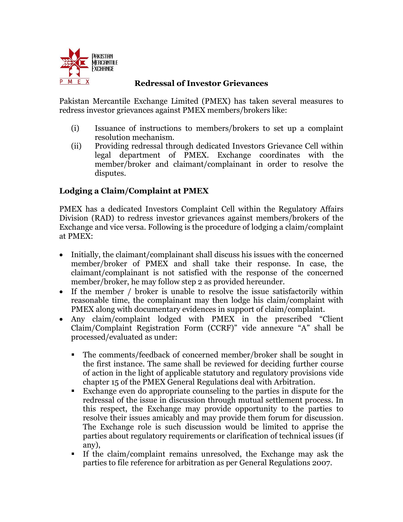

## **Redressal of Investor Grievances**

Pakistan Mercantile Exchange Limited (PMEX) has taken several measures to redress investor grievances against PMEX members/brokers like:

- (i) Issuance of instructions to members/brokers to set up a complaint resolution mechanism.
- (ii) Providing redressal through dedicated Investors Grievance Cell within legal department of PMEX. Exchange coordinates with the member/broker and claimant/complainant in order to resolve the disputes.

# **Lodging a Claim/Complaint at PMEX**

PMEX has a dedicated Investors Complaint Cell within the Regulatory Affairs Division (RAD) to redress investor grievances against members/brokers of the Exchange and vice versa. Following is the procedure of lodging a claim/complaint at PMEX:

- Initially, the claimant/complainant shall discuss his issues with the concerned member/broker of PMEX and shall take their response. In case, the claimant/complainant is not satisfied with the response of the concerned member/broker, he may follow step 2 as provided hereunder.
- If the member / broker is unable to resolve the issue satisfactorily within reasonable time, the complainant may then lodge his claim/complaint with PMEX along with documentary evidences in support of claim/complaint.
- Any claim/complaint lodged with PMEX in the prescribed "Client Claim/Complaint Registration Form (CCRF)" vide annexure "A" shall be processed/evaluated as under:
	- The comments/feedback of concerned member/broker shall be sought in the first instance. The same shall be reviewed for deciding further course of action in the light of applicable statutory and regulatory provisions vide chapter 15 of the PMEX General Regulations deal with Arbitration.
	- Exchange even do appropriate counseling to the parties in dispute for the redressal of the issue in discussion through mutual settlement process. In this respect, the Exchange may provide opportunity to the parties to resolve their issues amicably and may provide them forum for discussion. The Exchange role is such discussion would be limited to apprise the parties about regulatory requirements or clarification of technical issues (if any),
	- If the claim/complaint remains unresolved, the Exchange may ask the parties to file reference for arbitration as per General Regulations 2007.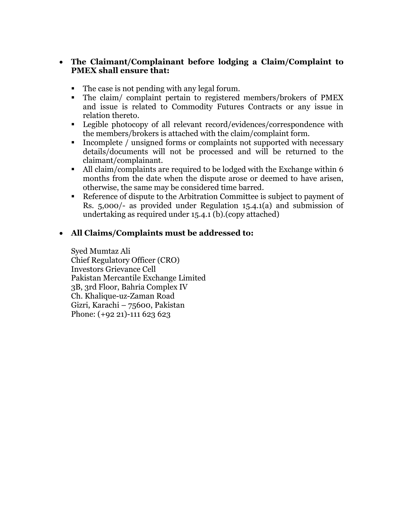## **The Claimant/Complainant before lodging a Claim/Complaint to PMEX shall ensure that:**

- The case is not pending with any legal forum.
- The claim/ complaint pertain to registered members/brokers of PMEX and issue is related to Commodity Futures Contracts or any issue in relation thereto.
- Legible photocopy of all relevant record/evidences/correspondence with the members/brokers is attached with the claim/complaint form.
- Incomplete / unsigned forms or complaints not supported with necessary details/documents will not be processed and will be returned to the claimant/complainant.
- All claim/complaints are required to be lodged with the Exchange within 6 months from the date when the dispute arose or deemed to have arisen, otherwise, the same may be considered time barred.
- Reference of dispute to the Arbitration Committee is subject to payment of Rs. 5,000/- as provided under Regulation 15.4.1(a) and submission of undertaking as required under 15.4.1 (b).(copy attached)

# **All Claims/Complaints must be addressed to:**

Syed Mumtaz Ali Chief Regulatory Officer (CRO) Investors Grievance Cell Pakistan Mercantile Exchange Limited 3B, 3rd Floor, Bahria Complex IV Ch. Khalique-uz-Zaman Road Gizri, Karachi – 75600, Pakistan Phone: (+92 21)-111 623 623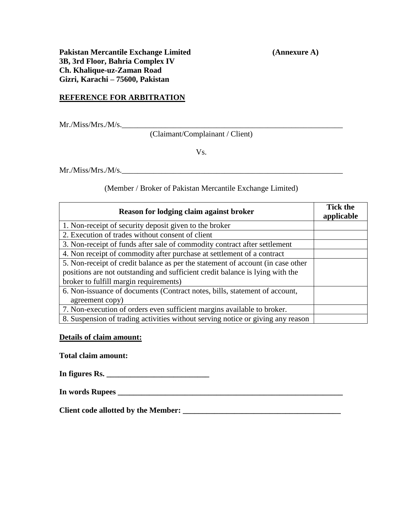**Pakistan Mercantile Exchange Limited (Annexure A) 3B, 3rd Floor, Bahria Complex IV Ch. Khalique-uz-Zaman Road Gizri, Karachi – 75600, Pakistan**

### **REFERENCE FOR ARBITRATION**

 $Mr.Miss/Mrs.M/s.$ 

(Claimant/Complainant / Client)

Vs.

Mr./Miss/Mrs./M/s.\_\_\_\_\_\_\_\_\_\_\_\_\_\_\_\_\_\_\_\_\_\_\_\_\_\_\_\_\_\_\_\_\_\_\_\_\_\_\_\_\_\_\_\_\_\_\_\_\_\_\_\_\_\_\_\_

(Member / Broker of Pakistan Mercantile Exchange Limited)

| Reason for lodging claim against broker                                         | <b>Tick the</b><br>applicable |
|---------------------------------------------------------------------------------|-------------------------------|
| 1. Non-receipt of security deposit given to the broker                          |                               |
| 2. Execution of trades without consent of client                                |                               |
| 3. Non-receipt of funds after sale of commodity contract after settlement       |                               |
| 4. Non receipt of commodity after purchase at settlement of a contract          |                               |
| 5. Non-receipt of credit balance as per the statement of account (in case other |                               |
| positions are not outstanding and sufficient credit balance is lying with the   |                               |
| broker to fulfill margin requirements)                                          |                               |
| 6. Non-issuance of documents (Contract notes, bills, statement of account,      |                               |
| agreement copy)                                                                 |                               |
| 7. Non-execution of orders even sufficient margins available to broker.         |                               |
| 8. Suspension of trading activities without serving notice or giving any reason |                               |

#### **Details of claim amount:**

**Total claim amount:**

| In figures Rs. |
|----------------|
|----------------|

|  | In words Rupees |  |
|--|-----------------|--|
|  |                 |  |

**Client code allotted by the Member: \_\_\_\_\_\_\_\_\_\_\_\_\_\_\_\_\_\_\_\_\_\_\_\_\_\_\_\_\_\_\_\_\_\_\_\_\_\_\_\_**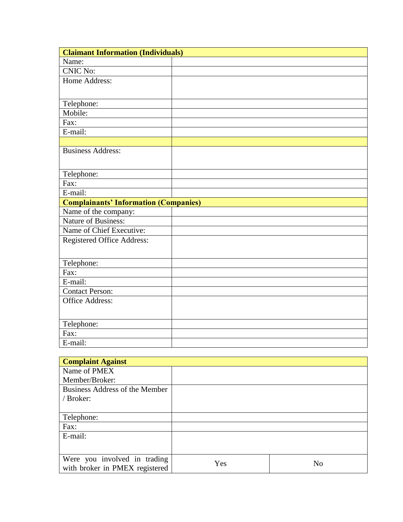| Name:                                        |
|----------------------------------------------|
|                                              |
| <b>CNIC No:</b>                              |
| Home Address:                                |
|                                              |
| Telephone:                                   |
| Mobile:                                      |
| Fax:                                         |
| E-mail:                                      |
|                                              |
| <b>Business Address:</b>                     |
|                                              |
|                                              |
| Telephone:<br>Fax:                           |
| E-mail:                                      |
| <b>Complainants' Information (Companies)</b> |
| Name of the company:                         |
| <b>Nature of Business:</b>                   |
| Name of Chief Executive:                     |
|                                              |
| Registered Office Address:                   |
|                                              |
| Telephone:                                   |
| Fax:                                         |
| E-mail:                                      |
| <b>Contact Person:</b>                       |
| <b>Office Address:</b>                       |
|                                              |
| Telephone:                                   |
| Fax:                                         |
| E-mail:                                      |
| <u>and</u> 1990                              |

| <b>Complaint Against</b>       |     |                |
|--------------------------------|-----|----------------|
| Name of PMEX                   |     |                |
| Member/Broker:                 |     |                |
| Business Address of the Member |     |                |
| / Broker:                      |     |                |
|                                |     |                |
| Telephone:                     |     |                |
| Fax:                           |     |                |
| E-mail:                        |     |                |
|                                |     |                |
|                                |     |                |
| Were you involved in trading   | Yes | N <sub>o</sub> |
| with broker in PMEX registered |     |                |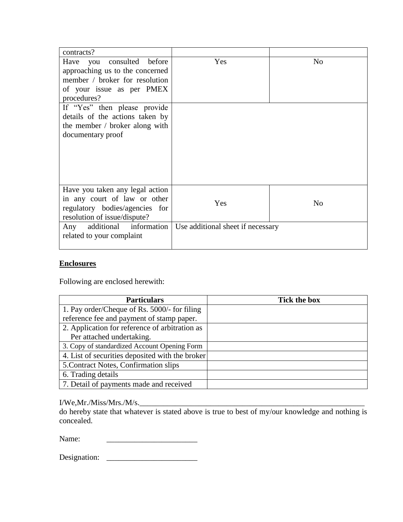| contracts?                      |                                   |                |
|---------------------------------|-----------------------------------|----------------|
| consulted before<br>Have you    | Yes                               | N <sub>o</sub> |
| approaching us to the concerned |                                   |                |
| member / broker for resolution  |                                   |                |
| of your issue as per PMEX       |                                   |                |
| procedures?                     |                                   |                |
| If "Yes" then please provide    |                                   |                |
| details of the actions taken by |                                   |                |
| the member / broker along with  |                                   |                |
| documentary proof               |                                   |                |
|                                 |                                   |                |
|                                 |                                   |                |
|                                 |                                   |                |
|                                 |                                   |                |
|                                 |                                   |                |
| Have you taken any legal action |                                   |                |
| in any court of law or other    | Yes                               | N <sub>o</sub> |
| regulatory bodies/agencies for  |                                   |                |
| resolution of issue/dispute?    |                                   |                |
| Any additional information      | Use additional sheet if necessary |                |
| related to your complaint       |                                   |                |
|                                 |                                   |                |

## **Enclosures**

Following are enclosed herewith:

| <b>Particulars</b>                              | <b>Tick the box</b> |
|-------------------------------------------------|---------------------|
| 1. Pay order/Cheque of Rs. 5000/- for filing    |                     |
| reference fee and payment of stamp paper.       |                     |
| 2. Application for reference of arbitration as  |                     |
| Per attached undertaking.                       |                     |
| 3. Copy of standardized Account Opening Form    |                     |
| 4. List of securities deposited with the broker |                     |
| 5. Contract Notes, Confirmation slips           |                     |
| 6. Trading details                              |                     |
| 7. Detail of payments made and received         |                     |

### I/We,Mr./Miss/Mrs./M/s.\_\_\_\_\_\_\_\_\_\_\_\_\_\_\_\_\_\_\_\_\_\_\_\_\_\_\_\_\_\_\_\_\_\_\_\_\_\_\_\_\_\_\_\_\_\_\_\_\_\_\_\_\_\_\_\_\_

do hereby state that whatever is stated above is true to best of my/our knowledge and nothing is concealed.

Name:

Designation: \_\_\_\_\_\_\_\_\_\_\_\_\_\_\_\_\_\_\_\_\_\_\_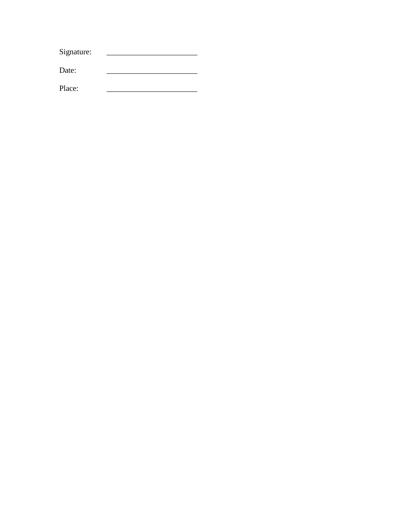|        | Signature: |  |
|--------|------------|--|
|        | Date:      |  |
| Place: |            |  |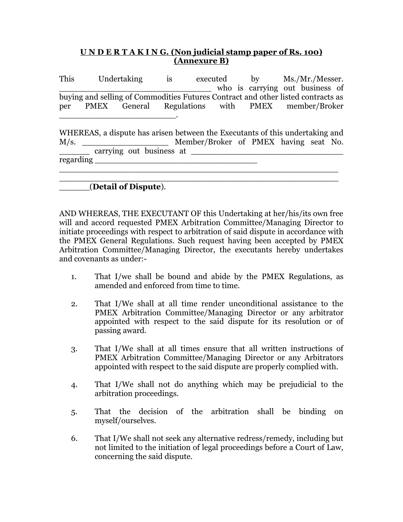## **U N D E R T A K I N G. (Non judicial stamp paper of Rs. 100) (Annexure B)**

This Undertaking is executed by Ms./Mr./Messer. who is carrying out business of buying and selling of Commodities Futures Contract and other listed contracts as per PMEX General Regulations with PMEX member/Broker \_\_\_\_\_\_\_\_\_\_\_\_\_\_\_\_\_\_\_\_\_\_\_.

WHEREAS, a dispute has arisen between the Executants of this undertaking and M/s. \_\_\_\_\_\_\_\_\_\_\_\_\_\_\_\_\_\_\_\_\_\_\_ Member/Broker of PMEX having seat No.  $\frac{1}{\sqrt{2}}$  carrying out business at  $\frac{1}{\sqrt{2}}$ regarding \_\_\_\_\_\_\_\_\_\_\_\_\_\_\_\_\_\_\_\_\_\_\_\_\_\_\_\_\_\_\_\_ \_\_\_\_\_\_\_\_\_\_\_\_\_\_\_\_\_\_\_\_\_\_\_\_\_\_\_\_\_\_\_\_\_\_\_\_\_\_\_\_\_\_\_\_\_\_\_\_\_\_\_\_\_\_\_

#### \_\_\_\_\_\_\_\_\_\_\_\_\_\_\_\_\_\_\_\_\_\_\_\_\_\_\_\_\_\_\_\_\_\_\_\_\_\_\_\_\_\_\_\_\_\_\_\_\_\_\_\_\_\_\_ \_\_\_\_\_\_(**Detail of Dispute**).

AND WHEREAS, THE EXECUTANT OF this Undertaking at her/his/its own free will and accord requested PMEX Arbitration Committee/Managing Director to initiate proceedings with respect to arbitration of said dispute in accordance with the PMEX General Regulations. Such request having been accepted by PMEX Arbitration Committee/Managing Director, the executants hereby undertakes and covenants as under:-

- 1. That I/we shall be bound and abide by the PMEX Regulations, as amended and enforced from time to time.
- 2. That I/We shall at all time render unconditional assistance to the PMEX Arbitration Committee/Managing Director or any arbitrator appointed with respect to the said dispute for its resolution or of passing award.
- 3. That I/We shall at all times ensure that all written instructions of PMEX Arbitration Committee/Managing Director or any Arbitrators appointed with respect to the said dispute are properly complied with.
- 4. That I/We shall not do anything which may be prejudicial to the arbitration proceedings.
- 5. That the decision of the arbitration shall be binding on myself/ourselves.
- 6. That I/We shall not seek any alternative redress/remedy, including but not limited to the initiation of legal proceedings before a Court of Law, concerning the said dispute.